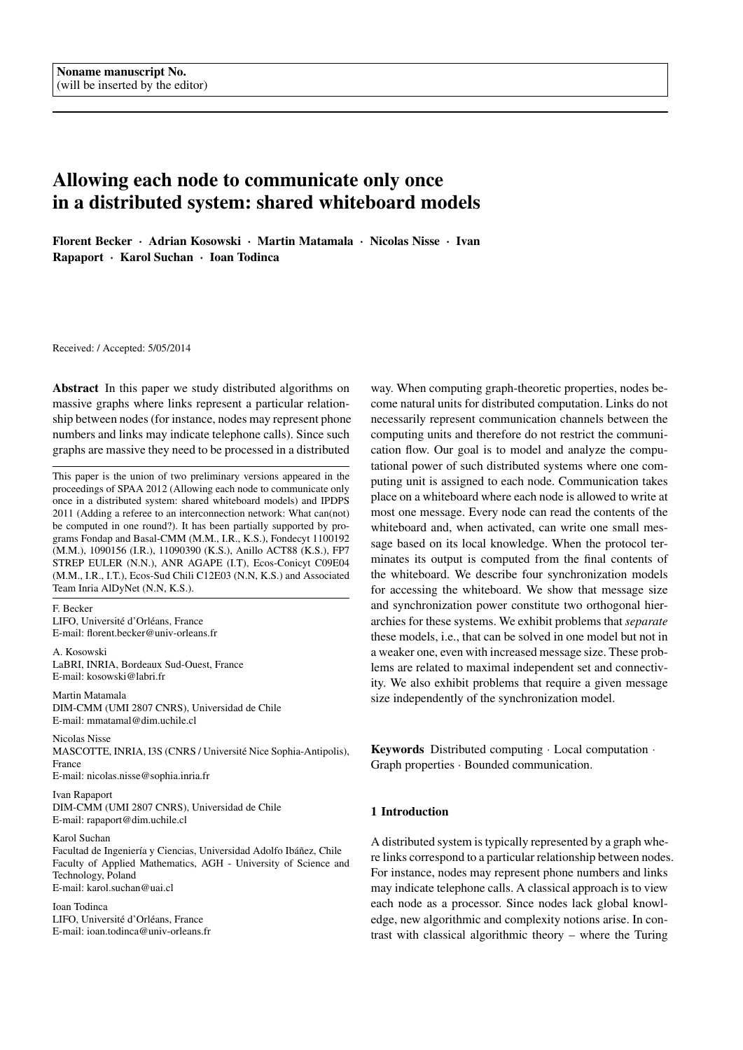# Allowing each node to communicate only once in a distributed system: shared whiteboard models

Florent Becker · Adrian Kosowski · Martin Matamala · Nicolas Nisse · Ivan Rapaport · Karol Suchan · Ioan Todinca

Received: / Accepted: 5/05/2014

Abstract In this paper we study distributed algorithms on massive graphs where links represent a particular relationship between nodes (for instance, nodes may represent phone numbers and links may indicate telephone calls). Since such graphs are massive they need to be processed in a distributed

This paper is the union of two preliminary versions appeared in the proceedings of SPAA 2012 (Allowing each node to communicate only once in a distributed system: shared whiteboard models) and IPDPS 2011 (Adding a referee to an interconnection network: What can(not) be computed in one round?). It has been partially supported by programs Fondap and Basal-CMM (M.M., I.R., K.S.), Fondecyt 1100192 (M.M.), 1090156 (I.R.), 11090390 (K.S.), Anillo ACT88 (K.S.), FP7 STREP EULER (N.N.), ANR AGAPE (I.T), Ecos-Conicyt C09E04 (M.M., I.R., I.T.), Ecos-Sud Chili C12E03 (N.N, K.S.) and Associated Team Inria AlDyNet (N.N, K.S.).

F. Becker LIFO, Université d'Orléans, France E-mail: florent.becker@univ-orleans.fr

A. Kosowski LaBRI, INRIA, Bordeaux Sud-Ouest, France E-mail: kosowski@labri.fr

Martin Matamala DIM-CMM (UMI 2807 CNRS), Universidad de Chile E-mail: mmatamal@dim.uchile.cl

Nicolas Nisse MASCOTTE, INRIA, I3S (CNRS / Universite Nice Sophia-Antipolis), ´ France E-mail: nicolas.nisse@sophia.inria.fr

Ivan Rapaport DIM-CMM (UMI 2807 CNRS), Universidad de Chile E-mail: rapaport@dim.uchile.cl

Karol Suchan

Facultad de Ingeniería y Ciencias, Universidad Adolfo Ibáñez, Chile Faculty of Applied Mathematics, AGH - University of Science and Technology, Poland E-mail: karol.suchan@uai.cl

Ioan Todinca LIFO, Université d'Orléans, France E-mail: ioan.todinca@univ-orleans.fr

way. When computing graph-theoretic properties, nodes become natural units for distributed computation. Links do not necessarily represent communication channels between the computing units and therefore do not restrict the communication flow. Our goal is to model and analyze the computational power of such distributed systems where one computing unit is assigned to each node. Communication takes place on a whiteboard where each node is allowed to write at most one message. Every node can read the contents of the whiteboard and, when activated, can write one small message based on its local knowledge. When the protocol terminates its output is computed from the final contents of the whiteboard. We describe four synchronization models for accessing the whiteboard. We show that message size and synchronization power constitute two orthogonal hierarchies for these systems. We exhibit problems that *separate* these models, i.e., that can be solved in one model but not in a weaker one, even with increased message size. These problems are related to maximal independent set and connectivity. We also exhibit problems that require a given message size independently of the synchronization model.

Keywords Distributed computing · Local computation · Graph properties · Bounded communication.

# 1 Introduction

A distributed system is typically represented by a graph where links correspond to a particular relationship between nodes. For instance, nodes may represent phone numbers and links may indicate telephone calls. A classical approach is to view each node as a processor. Since nodes lack global knowledge, new algorithmic and complexity notions arise. In contrast with classical algorithmic theory – where the Turing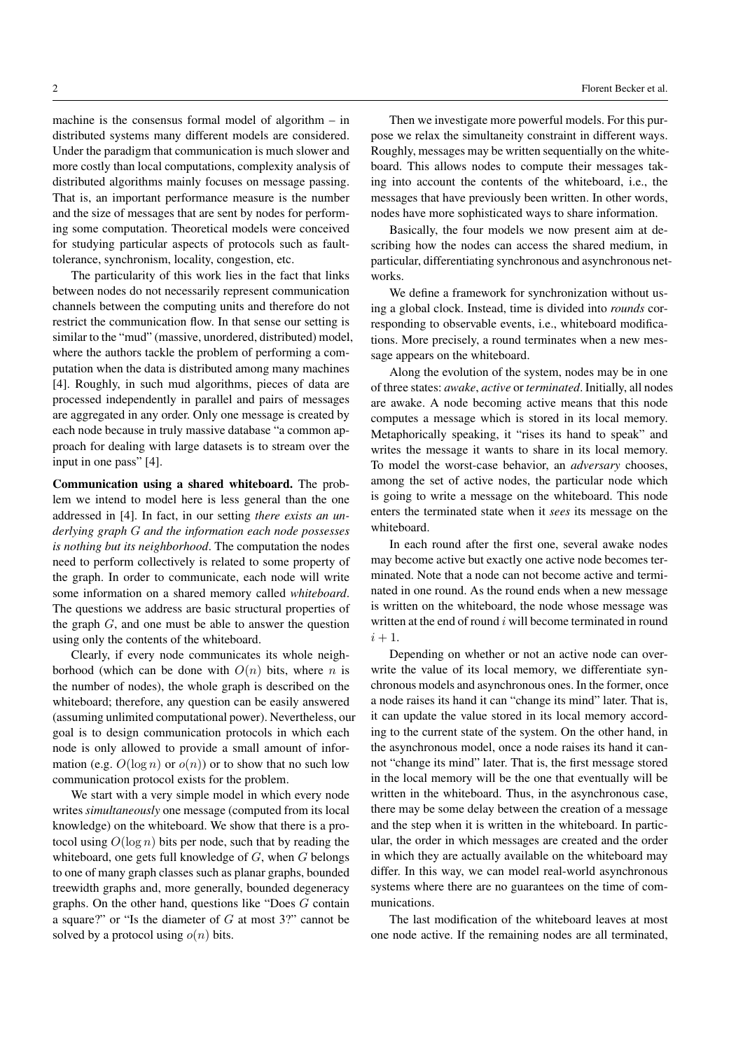machine is the consensus formal model of algorithm – in distributed systems many different models are considered. Under the paradigm that communication is much slower and more costly than local computations, complexity analysis of distributed algorithms mainly focuses on message passing. That is, an important performance measure is the number and the size of messages that are sent by nodes for performing some computation. Theoretical models were conceived for studying particular aspects of protocols such as faulttolerance, synchronism, locality, congestion, etc.

The particularity of this work lies in the fact that links between nodes do not necessarily represent communication channels between the computing units and therefore do not restrict the communication flow. In that sense our setting is similar to the "mud" (massive, unordered, distributed) model, where the authors tackle the problem of performing a computation when the data is distributed among many machines [4]. Roughly, in such mud algorithms, pieces of data are processed independently in parallel and pairs of messages are aggregated in any order. Only one message is created by each node because in truly massive database "a common approach for dealing with large datasets is to stream over the input in one pass" [4].

Communication using a shared whiteboard. The problem we intend to model here is less general than the one addressed in [4]. In fact, in our setting *there exists an underlying graph* G *and the information each node possesses is nothing but its neighborhood*. The computation the nodes need to perform collectively is related to some property of the graph. In order to communicate, each node will write some information on a shared memory called *whiteboard*. The questions we address are basic structural properties of the graph G, and one must be able to answer the question using only the contents of the whiteboard.

Clearly, if every node communicates its whole neighborhood (which can be done with  $O(n)$  bits, where n is the number of nodes), the whole graph is described on the whiteboard; therefore, any question can be easily answered (assuming unlimited computational power). Nevertheless, our goal is to design communication protocols in which each node is only allowed to provide a small amount of information (e.g.  $O(\log n)$  or  $o(n)$ ) or to show that no such low communication protocol exists for the problem.

We start with a very simple model in which every node writes *simultaneously* one message (computed from its local knowledge) on the whiteboard. We show that there is a protocol using  $O(\log n)$  bits per node, such that by reading the whiteboard, one gets full knowledge of  $G$ , when  $G$  belongs to one of many graph classes such as planar graphs, bounded treewidth graphs and, more generally, bounded degeneracy graphs. On the other hand, questions like "Does G contain a square?" or "Is the diameter of  $G$  at most 3?" cannot be solved by a protocol using  $o(n)$  bits.

Then we investigate more powerful models. For this purpose we relax the simultaneity constraint in different ways. Roughly, messages may be written sequentially on the whiteboard. This allows nodes to compute their messages taking into account the contents of the whiteboard, i.e., the messages that have previously been written. In other words, nodes have more sophisticated ways to share information.

Basically, the four models we now present aim at describing how the nodes can access the shared medium, in particular, differentiating synchronous and asynchronous networks.

We define a framework for synchronization without using a global clock. Instead, time is divided into *rounds* corresponding to observable events, i.e., whiteboard modifications. More precisely, a round terminates when a new message appears on the whiteboard.

Along the evolution of the system, nodes may be in one of three states: *awake*, *active* or *terminated*. Initially, all nodes are awake. A node becoming active means that this node computes a message which is stored in its local memory. Metaphorically speaking, it "rises its hand to speak" and writes the message it wants to share in its local memory. To model the worst-case behavior, an *adversary* chooses, among the set of active nodes, the particular node which is going to write a message on the whiteboard. This node enters the terminated state when it *sees* its message on the whiteboard.

In each round after the first one, several awake nodes may become active but exactly one active node becomes terminated. Note that a node can not become active and terminated in one round. As the round ends when a new message is written on the whiteboard, the node whose message was written at the end of round  $i$  will become terminated in round  $i+1$ .

Depending on whether or not an active node can overwrite the value of its local memory, we differentiate synchronous models and asynchronous ones. In the former, once a node raises its hand it can "change its mind" later. That is, it can update the value stored in its local memory according to the current state of the system. On the other hand, in the asynchronous model, once a node raises its hand it cannot "change its mind" later. That is, the first message stored in the local memory will be the one that eventually will be written in the whiteboard. Thus, in the asynchronous case, there may be some delay between the creation of a message and the step when it is written in the whiteboard. In particular, the order in which messages are created and the order in which they are actually available on the whiteboard may differ. In this way, we can model real-world asynchronous systems where there are no guarantees on the time of communications.

The last modification of the whiteboard leaves at most one node active. If the remaining nodes are all terminated,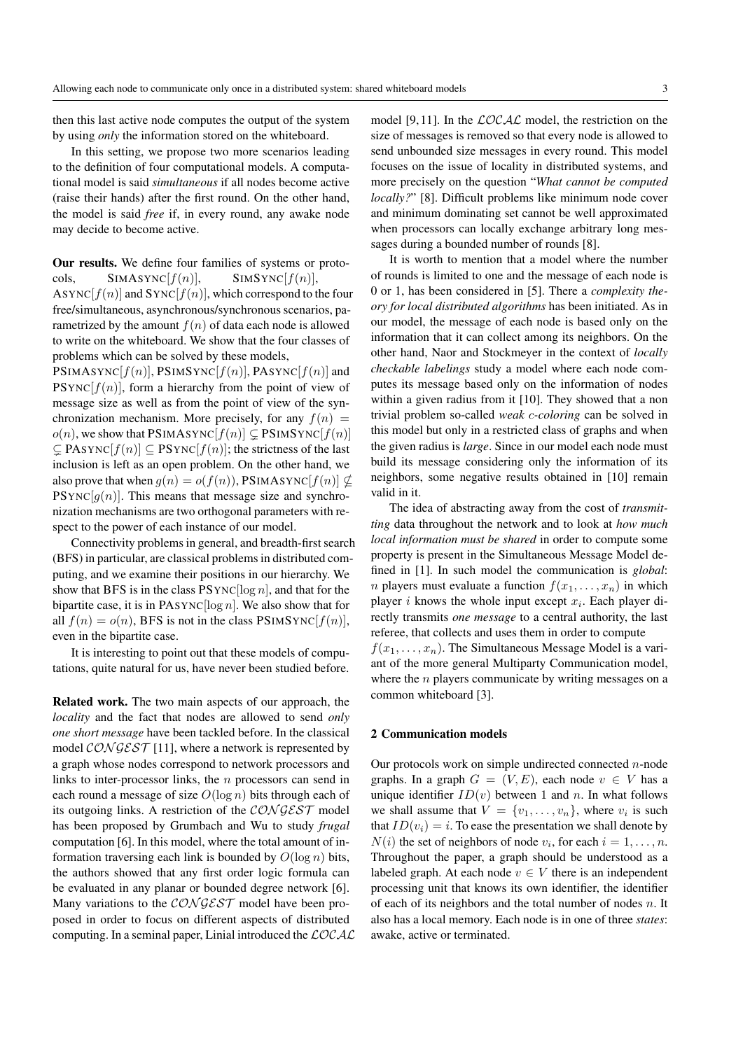then this last active node computes the output of the system by using *only* the information stored on the whiteboard.

In this setting, we propose two more scenarios leading to the definition of four computational models. A computational model is said *simultaneous* if all nodes become active (raise their hands) after the first round. On the other hand, the model is said *free* if, in every round, any awake node may decide to become active.

Our results. We define four families of systems or protocols,  $SIMASYNC[f(n)],$   $SIMSYNC[f(n)],$ 

ASYNC $[f(n)]$  and SYNC $[f(n)]$ , which correspond to the four free/simultaneous, asynchronous/synchronous scenarios, parametrized by the amount  $f(n)$  of data each node is allowed to write on the whiteboard. We show that the four classes of problems which can be solved by these models,

PSIMASYNC $[f(n)]$ , PSIMSYNC $[f(n)]$ , PASYNC $[f(n)]$  and  $PSYNC[f(n)]$ , form a hierarchy from the point of view of message size as well as from the point of view of the synchronization mechanism. More precisely, for any  $f(n)$  =  $o(n)$ , we show that PSIMASYNC $[f(n)] \subseteq$  PSIMSYNC $[f(n)]$  $\subseteq$  PASYNC $[f(n)] \subseteq$  PSYNC $[f(n)]$ ; the strictness of the last inclusion is left as an open problem. On the other hand, we also prove that when  $g(n) = o(f(n))$ , PSIMASYNC $[f(n)] \nsubseteq$  $PSYNC[q(n)]$ . This means that message size and synchronization mechanisms are two orthogonal parameters with respect to the power of each instance of our model.

Connectivity problems in general, and breadth-first search (BFS) in particular, are classical problems in distributed computing, and we examine their positions in our hierarchy. We show that BFS is in the class  $PSYNC[log n]$ , and that for the bipartite case, it is in PASYNC[ $log n$ ]. We also show that for all  $f(n) = o(n)$ , BFS is not in the class PSIMSYNC $[f(n)]$ , even in the bipartite case.

It is interesting to point out that these models of computations, quite natural for us, have never been studied before.

Related work. The two main aspects of our approach, the *locality* and the fact that nodes are allowed to send *only one short message* have been tackled before. In the classical model  $\mathcal{CONGEST}$  [11], where a network is represented by a graph whose nodes correspond to network processors and links to inter-processor links, the  $n$  processors can send in each round a message of size  $O(\log n)$  bits through each of its outgoing links. A restriction of the  $\mathcal{CONGEST}$  model has been proposed by Grumbach and Wu to study *frugal* computation [6]. In this model, where the total amount of information traversing each link is bounded by  $O(\log n)$  bits, the authors showed that any first order logic formula can be evaluated in any planar or bounded degree network [6]. Many variations to the  $CONGEST$  model have been proposed in order to focus on different aspects of distributed computing. In a seminal paper, Linial introduced the  $\mathcal{LOCAL}$  model [9, 11]. In the  $\angle OCA\angle$  model, the restriction on the size of messages is removed so that every node is allowed to send unbounded size messages in every round. This model focuses on the issue of locality in distributed systems, and more precisely on the question "*What cannot be computed locally?*" [8]. Difficult problems like minimum node cover and minimum dominating set cannot be well approximated when processors can locally exchange arbitrary long messages during a bounded number of rounds [8].

It is worth to mention that a model where the number of rounds is limited to one and the message of each node is 0 or 1, has been considered in [5]. There a *complexity theory for local distributed algorithms* has been initiated. As in our model, the message of each node is based only on the information that it can collect among its neighbors. On the other hand, Naor and Stockmeyer in the context of *locally checkable labelings* study a model where each node computes its message based only on the information of nodes within a given radius from it [10]. They showed that a non trivial problem so-called *weak* c*-coloring* can be solved in this model but only in a restricted class of graphs and when the given radius is *large*. Since in our model each node must build its message considering only the information of its neighbors, some negative results obtained in [10] remain valid in it.

The idea of abstracting away from the cost of *transmitting* data throughout the network and to look at *how much local information must be shared* in order to compute some property is present in the Simultaneous Message Model defined in [1]. In such model the communication is *global*: *n* players must evaluate a function  $f(x_1, \ldots, x_n)$  in which player *i* knows the whole input except  $x_i$ . Each player directly transmits *one message* to a central authority, the last referee, that collects and uses them in order to compute  $f(x_1, \ldots, x_n)$ . The Simultaneous Message Model is a variant of the more general Multiparty Communication model, where the  $n$  players communicate by writing messages on a

#### 2 Communication models

common whiteboard [3].

Our protocols work on simple undirected connected  $n$ -node graphs. In a graph  $G = (V, E)$ , each node  $v \in V$  has a unique identifier  $ID(v)$  between 1 and n. In what follows we shall assume that  $V = \{v_1, \ldots, v_n\}$ , where  $v_i$  is such that  $ID(v_i) = i$ . To ease the presentation we shall denote by  $N(i)$  the set of neighbors of node  $v_i$ , for each  $i = 1, \ldots, n$ . Throughout the paper, a graph should be understood as a labeled graph. At each node  $v \in V$  there is an independent processing unit that knows its own identifier, the identifier of each of its neighbors and the total number of nodes  $n$ . It also has a local memory. Each node is in one of three *states*: awake, active or terminated.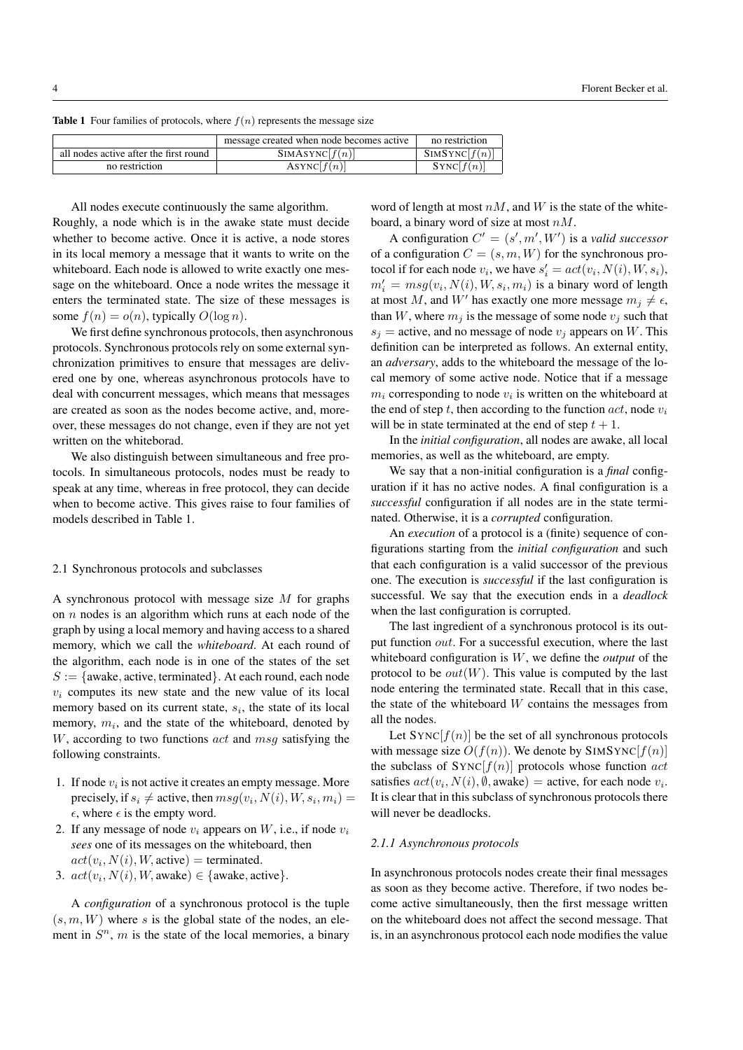**Table 1** Four families of protocols, where  $f(n)$  represents the message size

|                                        | message created when node becomes active | no restriction |
|----------------------------------------|------------------------------------------|----------------|
| all nodes active after the first round | SIMASYNC[f(n)]                           | SIMSYNC[f(n)]  |
| no restriction                         | ASYNC[f(n)]                              | SYNC[f(n)]     |

All nodes execute continuously the same algorithm. Roughly, a node which is in the awake state must decide whether to become active. Once it is active, a node stores in its local memory a message that it wants to write on the whiteboard. Each node is allowed to write exactly one message on the whiteboard. Once a node writes the message it enters the terminated state. The size of these messages is some  $f(n) = o(n)$ , typically  $O(\log n)$ .

We first define synchronous protocols, then asynchronous protocols. Synchronous protocols rely on some external synchronization primitives to ensure that messages are delivered one by one, whereas asynchronous protocols have to deal with concurrent messages, which means that messages are created as soon as the nodes become active, and, moreover, these messages do not change, even if they are not yet written on the whiteborad.

We also distinguish between simultaneous and free protocols. In simultaneous protocols, nodes must be ready to speak at any time, whereas in free protocol, they can decide when to become active. This gives raise to four families of models described in Table 1.

#### 2.1 Synchronous protocols and subclasses

A synchronous protocol with message size  $M$  for graphs on  $n$  nodes is an algorithm which runs at each node of the graph by using a local memory and having access to a shared memory, which we call the *whiteboard*. At each round of the algorithm, each node is in one of the states of the set  $S := \{$ awake, active, terminated $\}$ . At each round, each node  $v_i$  computes its new state and the new value of its local memory based on its current state,  $s_i$ , the state of its local memory,  $m_i$ , and the state of the whiteboard, denoted by  $W$ , according to two functions  $act$  and  $msg$  satisfying the following constraints.

- 1. If node  $v_i$  is not active it creates an empty message. More precisely, if  $s_i \neq$  active, then  $msg(v_i, N(i), W, s_i, m_i)$  =  $\epsilon$ , where  $\epsilon$  is the empty word.
- 2. If any message of node  $v_i$  appears on  $W$ , i.e., if node  $v_i$ *sees* one of its messages on the whiteboard, then  $act(v_i, N(i), W, \text{active}) = \text{terminal}.$
- 3.  $act(v_i, N(i), W$ , awake)  $\in$  {awake, active}.

A *configuration* of a synchronous protocol is the tuple  $(s, m, W)$  where s is the global state of the nodes, an element in  $S<sup>n</sup>$ , m is the state of the local memories, a binary

word of length at most  $nM$ , and W is the state of the whiteboard, a binary word of size at most  $nM$ .

A configuration  $C' = (s', m', W')$  is a *valid successor* of a configuration  $C = (s, m, W)$  for the synchronous protocol if for each node  $v_i$ , we have  $s'_i = act(v_i, N(i), W, s_i)$ ,  $m'_i = msg(v_i, N(i), W, s_i, m_i)$  is a binary word of length at most M, and W' has exactly one more message  $m_j \neq \epsilon$ , than W, where  $m_i$  is the message of some node  $v_i$  such that  $s_i$  = active, and no message of node  $v_i$  appears on W. This definition can be interpreted as follows. An external entity, an *adversary*, adds to the whiteboard the message of the local memory of some active node. Notice that if a message  $m_i$  corresponding to node  $v_i$  is written on the whiteboard at the end of step t, then according to the function  $act$ , node  $v_i$ will be in state terminated at the end of step  $t + 1$ .

In the *initial configuration*, all nodes are awake, all local memories, as well as the whiteboard, are empty.

We say that a non-initial configuration is a *final* configuration if it has no active nodes. A final configuration is a *successful* configuration if all nodes are in the state terminated. Otherwise, it is a *corrupted* configuration.

An *execution* of a protocol is a (finite) sequence of configurations starting from the *initial configuration* and such that each configuration is a valid successor of the previous one. The execution is *successful* if the last configuration is successful. We say that the execution ends in a *deadlock* when the last configuration is corrupted.

The last ingredient of a synchronous protocol is its output function out. For a successful execution, where the last whiteboard configuration is W, we define the *output* of the protocol to be  $out(W)$ . This value is computed by the last node entering the terminated state. Recall that in this case, the state of the whiteboard  $W$  contains the messages from all the nodes.

Let  $SYNC[f(n)]$  be the set of all synchronous protocols with message size  $O(f(n))$ . We denote by SIMSYNC[ $f(n)$ ] the subclass of  $\text{SYNC}[f(n)]$  protocols whose function act satisfies  $act(v_i, N(i), \emptyset, \text{awake}) = \text{active}$ , for each node  $v_i$ . It is clear that in this subclass of synchronous protocols there will never be deadlocks.

# *2.1.1 Asynchronous protocols*

In asynchronous protocols nodes create their final messages as soon as they become active. Therefore, if two nodes become active simultaneously, then the first message written on the whiteboard does not affect the second message. That is, in an asynchronous protocol each node modifies the value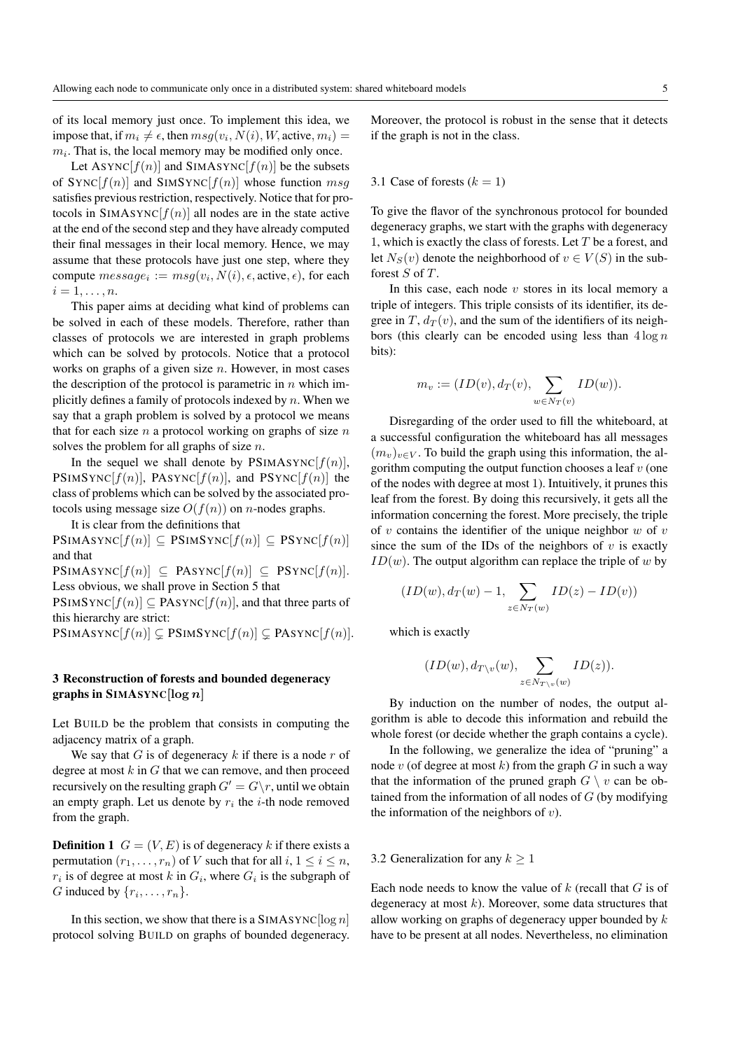of its local memory just once. To implement this idea, we impose that, if  $m_i \neq \epsilon$ , then  $msg(v_i,N(i),W,\text{active},m_i)$  =  $m<sub>i</sub>$ . That is, the local memory may be modified only once.

Let ASYNC $[f(n)]$  and SIMASYNC $[f(n)]$  be the subsets of  $SYNC[f(n)]$  and  $SIMSYNC[f(n)]$  whose function msg satisfies previous restriction, respectively. Notice that for protocols in  $SIMASYNC[f(n)]$  all nodes are in the state active at the end of the second step and they have already computed their final messages in their local memory. Hence, we may assume that these protocols have just one step, where they compute  $message_i := msg(v_i, N(i), \epsilon, \text{active}, \epsilon)$ , for each  $i=1,\ldots,n.$ 

This paper aims at deciding what kind of problems can be solved in each of these models. Therefore, rather than classes of protocols we are interested in graph problems which can be solved by protocols. Notice that a protocol works on graphs of a given size  $n$ . However, in most cases the description of the protocol is parametric in  $n$  which implicitly defines a family of protocols indexed by  $n$ . When we say that a graph problem is solved by a protocol we means that for each size  $n$  a protocol working on graphs of size  $n$ solves the problem for all graphs of size  $n$ .

In the sequel we shall denote by  $PSIMASYNC[f(n)]$ , PSIMSYNC $[f(n)]$ , PASYNC $[f(n)]$ , and PSYNC $[f(n)]$  the class of problems which can be solved by the associated protocols using message size  $O(f(n))$  on *n*-nodes graphs.

It is clear from the definitions that

 $\text{PSIMASYNC}[f(n)] \subseteq \text{PSIMSYNC}[f(n)] \subseteq \text{PSYNC}[f(n)]$ and that

 $\text{PSIMASYNC}[f(n)] \subseteq \text{PASYNC}[f(n)] \subseteq \text{PSYNC}[f(n)].$ Less obvious, we shall prove in Section 5 that

 $\text{PSIMSYNC}[f(n)] \subseteq \text{PASYNC}[f(n)]$ , and that three parts of this hierarchy are strict:

 $\text{PSIMASYNC}[f(n)] \subsetneq \text{PSIMSYNC}[f(n)] \subsetneq \text{PASYNC}[f(n)].$ 

# 3 Reconstruction of forests and bounded degeneracy graphs in SIMASYNC [ $log n$ ]

Let BUILD be the problem that consists in computing the adjacency matrix of a graph.

We say that  $G$  is of degeneracy  $k$  if there is a node  $r$  of degree at most  $k$  in  $G$  that we can remove, and then proceed recursively on the resulting graph  $G' = G\backslash r$ , until we obtain an empty graph. Let us denote by  $r_i$  the *i*-th node removed from the graph.

**Definition 1**  $G = (V, E)$  is of degeneracy k if there exists a permutation  $(r_1, \ldots, r_n)$  of V such that for all  $i, 1 \le i \le n$ ,  $r_i$  is of degree at most k in  $G_i$ , where  $G_i$  is the subgraph of G induced by  $\{r_i, \ldots, r_n\}$ .

In this section, we show that there is a SIMASYNC  $\lceil \log n \rceil$ protocol solving BUILD on graphs of bounded degeneracy. Moreover, the protocol is robust in the sense that it detects if the graph is not in the class.

#### 3.1 Case of forests  $(k = 1)$

To give the flavor of the synchronous protocol for bounded degeneracy graphs, we start with the graphs with degeneracy 1, which is exactly the class of forests. Let  $T$  be a forest, and let  $N_S(v)$  denote the neighborhood of  $v \in V(S)$  in the subforest S of T.

In this case, each node  $v$  stores in its local memory a triple of integers. This triple consists of its identifier, its degree in T,  $d_T(v)$ , and the sum of the identifiers of its neighbors (this clearly can be encoded using less than  $4 \log n$ bits):

$$
m_v := (ID(v), d_T(v), \sum_{w \in N_T(v)} ID(w)).
$$

Disregarding of the order used to fill the whiteboard, at a successful configuration the whiteboard has all messages  $(m_v)_{v \in V}$ . To build the graph using this information, the algorithm computing the output function chooses a leaf  $v$  (one of the nodes with degree at most 1). Intuitively, it prunes this leaf from the forest. By doing this recursively, it gets all the information concerning the forest. More precisely, the triple of v contains the identifier of the unique neighbor  $w$  of  $v$ since the sum of the IDs of the neighbors of  $v$  is exactly  $ID(w)$ . The output algorithm can replace the triple of w by

$$
(ID(w), d_T(w) - 1, \sum_{z \in N_T(w)} ID(z) - ID(v))
$$

which is exactly

$$
(ID(w), d_{T \setminus v}(w), \sum_{z \in N_{T \setminus v}(w)} ID(z)).
$$

By induction on the number of nodes, the output algorithm is able to decode this information and rebuild the whole forest (or decide whether the graph contains a cycle).

In the following, we generalize the idea of "pruning" a node v (of degree at most k) from the graph G in such a way that the information of the pruned graph  $G \setminus v$  can be obtained from the information of all nodes of  $G$  (by modifying the information of the neighbors of  $v$ ).

## 3.2 Generalization for any  $k > 1$

Each node needs to know the value of  $k$  (recall that  $G$  is of degeneracy at most  $k$ ). Moreover, some data structures that allow working on graphs of degeneracy upper bounded by  $k$ have to be present at all nodes. Nevertheless, no elimination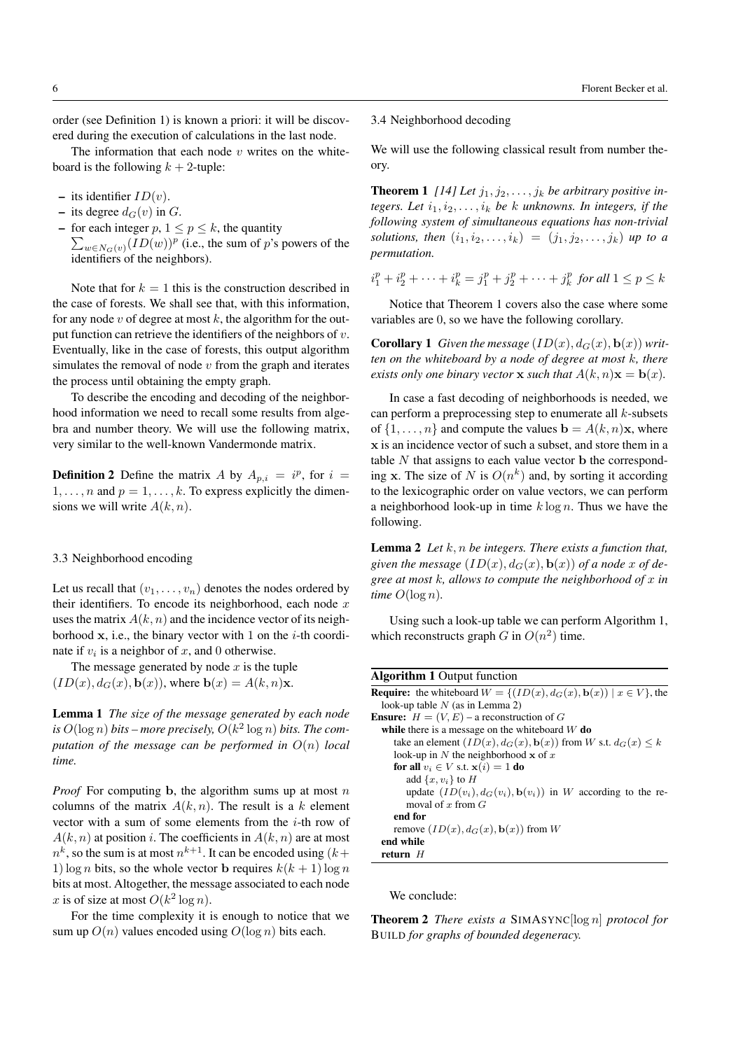order (see Definition 1) is known a priori: it will be discovered during the execution of calculations in the last node.

The information that each node  $v$  writes on the whiteboard is the following  $k + 2$ -tuple:

- its identifier  $ID(v)$ .
- its degree  $d_G(v)$  in G.
- for each integer  $p, 1 \leq p \leq k$ , the quantity  $\sum_{w \in N_G(v)} (ID(w))^p$  (i.e., the sum of p's powers of the identifiers of the neighbors).

Note that for  $k = 1$  this is the construction described in the case of forests. We shall see that, with this information, for any node v of degree at most  $k$ , the algorithm for the output function can retrieve the identifiers of the neighbors of  $v$ . Eventually, like in the case of forests, this output algorithm simulates the removal of node  $v$  from the graph and iterates the process until obtaining the empty graph.

To describe the encoding and decoding of the neighborhood information we need to recall some results from algebra and number theory. We will use the following matrix, very similar to the well-known Vandermonde matrix.

**Definition 2** Define the matrix A by  $A_{p,i} = i^p$ , for  $i =$  $1, \ldots, n$  and  $p = 1, \ldots, k$ . To express explicitly the dimensions we will write  $A(k, n)$ .

#### 3.3 Neighborhood encoding

Let us recall that  $(v_1, \ldots, v_n)$  denotes the nodes ordered by their identifiers. To encode its neighborhood, each node  $x$ uses the matrix  $A(k, n)$  and the incidence vector of its neighborhood  $x$ , i.e., the binary vector with 1 on the *i*-th coordinate if  $v_i$  is a neighbor of x, and 0 otherwise.

The message generated by node  $x$  is the tuple  $(ID(x), d_G(x), \mathbf{b}(x))$ , where  $\mathbf{b}(x) = A(k, n)\mathbf{x}$ .

Lemma 1 *The size of the message generated by each node* is  $O(\log n)$  bits – more precisely,  $O(k^2 \log n)$  bits. The com*putation of the message can be performed in* O(n) *local time.*

*Proof* For computing b, the algorithm sums up at most  $n$ columns of the matrix  $A(k, n)$ . The result is a k element vector with a sum of some elements from the  $i$ -th row of  $A(k, n)$  at position i. The coefficients in  $A(k, n)$  are at most  $n^k$ , so the sum is at most  $n^{k+1}$ . It can be encoded using  $(k+1)$ 1) log *n* bits, so the whole vector **b** requires  $k(k + 1) \log n$ bits at most. Altogether, the message associated to each node x is of size at most  $O(k^2 \log n)$ .

For the time complexity it is enough to notice that we sum up  $O(n)$  values encoded using  $O(\log n)$  bits each.

# 3.4 Neighborhood decoding

We will use the following classical result from number theory.

**Theorem 1** [14] Let  $j_1, j_2, \ldots, j_k$  be arbitrary positive in*tegers. Let*  $i_1, i_2, \ldots, i_k$  *be k unknowns. In integers, if the following system of simultaneous equations has non-trivial solutions, then*  $(i_1, i_2, \ldots, i_k) = (j_1, j_2, \ldots, j_k)$  *up to a permutation.*

 $i_1^p + i_2^p + \cdots + i_k^p = j_1^p + j_2^p + \cdots + j_k^p$  for all  $1 \le p \le k$ 

Notice that Theorem 1 covers also the case where some variables are 0, so we have the following corollary.

**Corollary 1** *Given the message*  $(ID(x), d_G(x), \mathbf{b}(x))$  *written on the whiteboard by a node of degree at most* k*, there exists only one binary vector* **x** *such that*  $A(k, n)$ **x** = **b** $(x)$ *.* 

In case a fast decoding of neighborhoods is needed, we can perform a preprocessing step to enumerate all  $k$ -subsets of  $\{1, \ldots, n\}$  and compute the values  $\mathbf{b} = A(k, n)\mathbf{x}$ , where x is an incidence vector of such a subset, and store them in a table  $N$  that assigns to each value vector  $\bf{b}$  the corresponding x. The size of N is  $O(n^k)$  and, by sorting it according to the lexicographic order on value vectors, we can perform a neighborhood look-up in time  $k \log n$ . Thus we have the following.

Lemma 2 *Let* k, n *be integers. There exists a function that,* given the message  $(ID(x), d_G(x), \mathbf{b}(x))$  of a node x of de*gree at most* k*, allows to compute the neighborhood of* x *in time*  $O(\log n)$ *.* 

Using such a look-up table we can perform Algorithm 1, which reconstructs graph G in  $O(n^2)$  time.

| <b>Algorithm 1 Output function</b>                                                        |
|-------------------------------------------------------------------------------------------|
| <b>Require:</b> the whiteboard $W = \{ (ID(x), d_G(x), \mathbf{b}(x))   x \in V \}$ , the |
| look-up table $N$ (as in Lemma 2)                                                         |
| <b>Ensure:</b> $H = (V, E)$ – a reconstruction of G                                       |
| while there is a message on the whiteboard $W$ do                                         |
| take an element $(ID(x), d_G(x), \mathbf{b}(x))$ from W s.t. $d_G(x) \leq k$              |
| look-up in N the neighborhood $x$ of x                                                    |
| for all $v_i \in V$ s.t. $\mathbf{x}(i) = 1$ do                                           |
| add $\{x, v_i\}$ to H                                                                     |
| update $(ID(v_i), d_G(v_i), \mathbf{b}(v_i))$ in W according to the re-                   |
| moval of x from $G$                                                                       |
| end for                                                                                   |
| remove $(ID(x), d_G(x), \mathbf{b}(x))$ from W                                            |
| end while                                                                                 |
| return H                                                                                  |

We conclude:

Theorem 2 *There exists a* SIMASYNC[log n] *protocol for* BUILD *for graphs of bounded degeneracy.*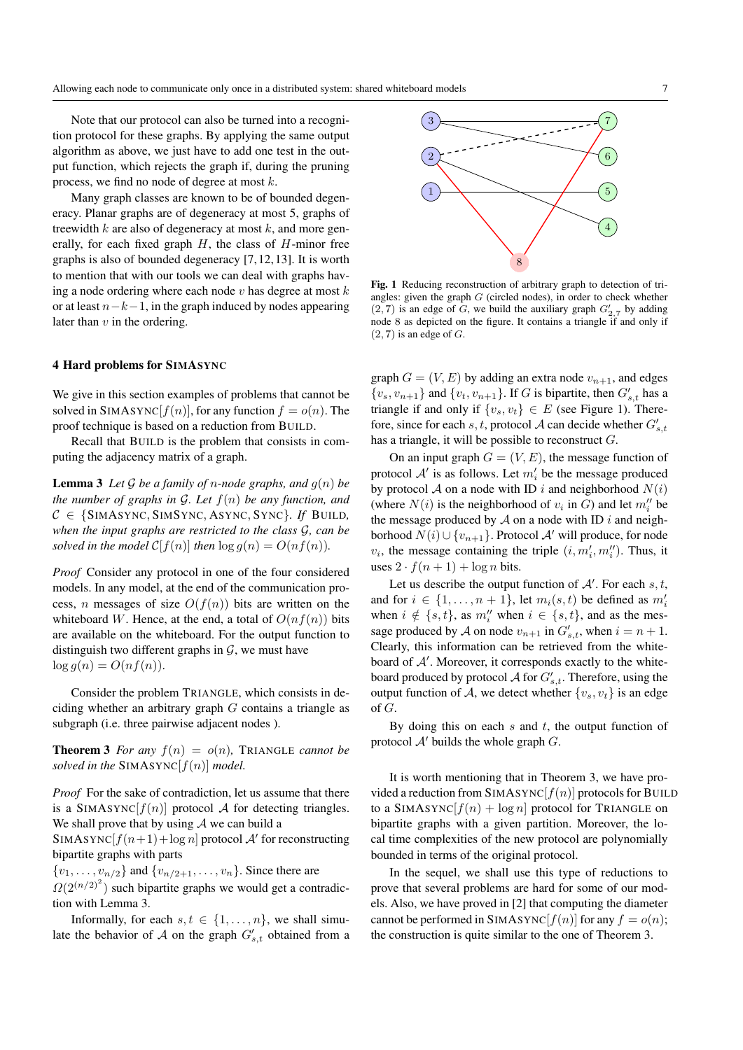Note that our protocol can also be turned into a recognition protocol for these graphs. By applying the same output algorithm as above, we just have to add one test in the output function, which rejects the graph if, during the pruning process, we find no node of degree at most k.

Many graph classes are known to be of bounded degeneracy. Planar graphs are of degeneracy at most 5, graphs of treewidth  $k$  are also of degeneracy at most  $k$ , and more generally, for each fixed graph  $H$ , the class of  $H$ -minor free graphs is also of bounded degeneracy [7, 12, 13]. It is worth to mention that with our tools we can deal with graphs having a node ordering where each node  $v$  has degree at most  $k$ or at least  $n-k-1$ , in the graph induced by nodes appearing later than  $v$  in the ordering.

## 4 Hard problems for SIMASYNC

We give in this section examples of problems that cannot be solved in SIMASYNC $[f(n)]$ , for any function  $f = o(n)$ . The proof technique is based on a reduction from BUILD.

Recall that BUILD is the problem that consists in computing the adjacency matrix of a graph.

**Lemma 3** Let G be a family of *n*-node graphs, and  $g(n)$  be *the number of graphs in* G*. Let* f(n) *be any function, and*  $C \in \{SIMASYNC, SIMSYNC, ASYNC, SYNC\}$ *. If BUILD, when the input graphs are restricted to the class* G*, can be solved in the model*  $C[f(n)]$  *then*  $\log g(n) = O(n f(n))$ *.* 

*Proof* Consider any protocol in one of the four considered models. In any model, at the end of the communication process, *n* messages of size  $O(f(n))$  bits are written on the whiteboard W. Hence, at the end, a total of  $O(n f(n))$  bits are available on the whiteboard. For the output function to distinguish two different graphs in  $\mathcal{G}$ , we must have  $\log q(n) = O(n f(n)).$ 

Consider the problem TRIANGLE, which consists in deciding whether an arbitrary graph  $G$  contains a triangle as subgraph (i.e. three pairwise adjacent nodes ).

**Theorem 3** For any  $f(n) = o(n)$ , TRIANGLE *cannot be solved in the* SIMASYNC $[f(n)]$  *model.* 

*Proof* For the sake of contradiction, let us assume that there is a SIMASYNC $[f(n)]$  protocol A for detecting triangles. We shall prove that by using  $A$  we can build a

SIMASYNC $[f(n+1)+\log n]$  protocol A' for reconstructing bipartite graphs with parts

 ${v_1, \ldots, v_{n/2}}$  and  ${v_{n/2+1}, \ldots, v_n}$ . Since there are

 $\Omega(2^{(n/2)^2})$  such bipartite graphs we would get a contradiction with Lemma 3.

Informally, for each  $s, t \in \{1, \ldots, n\}$ , we shall simulate the behavior of A on the graph  $G'_{s,t}$  obtained from a



Fig. 1 Reducing reconstruction of arbitrary graph to detection of triangles: given the graph  $G$  (circled nodes), in order to check whether  $(2, 7)$  is an edge of G, we build the auxiliary graph  $G'_{2,7}$  by adding node 8 as depicted on the figure. It contains a triangle if and only if  $(2, 7)$  is an edge of  $G$ .

graph  $G = (V, E)$  by adding an extra node  $v_{n+1}$ , and edges  $\{v_s, v_{n+1}\}\$  and  $\{v_t, v_{n+1}\}\$ . If G is bipartite, then  $G'_{s,t}$  has a triangle if and only if  $\{v_s, v_t\} \in E$  (see Figure 1). Therefore, since for each s, t, protocol A can decide whether  $G'_{s,t}$ has a triangle, it will be possible to reconstruct  $G$ .

On an input graph  $G = (V, E)$ , the message function of protocol  $A'$  is as follows. Let  $m'_i$  be the message produced by protocol A on a node with ID i and neighborhood  $N(i)$ (where  $N(i)$  is the neighborhood of  $v_i$  in  $G$ ) and let  $m''_i$  be the message produced by  $A$  on a node with ID i and neighborhood  $N(i) \cup \{v_{n+1}\}\$ . Protocol  $\mathcal{A}'$  will produce, for node  $v_i$ , the message containing the triple  $(i, m'_i, m''_i)$ . Thus, it uses  $2 \cdot f(n+1) + \log n$  bits.

Let us describe the output function of  $A'$ . For each  $s, t$ , and for  $i \in \{1, \ldots, n+1\}$ , let  $m_i(s, t)$  be defined as  $m_i'$ when  $i \notin \{s, t\}$ , as  $m''_i$  when  $i \in \{s, t\}$ , and as the message produced by A on node  $v_{n+1}$  in  $G'_{s,t}$ , when  $i = n + 1$ . Clearly, this information can be retrieved from the whiteboard of  $A'$ . Moreover, it corresponds exactly to the whiteboard produced by protocol  $A$  for  $G'_{s,t}$ . Therefore, using the output function of A, we detect whether  $\{v_s, v_t\}$  is an edge of G.

By doing this on each  $s$  and  $t$ , the output function of protocol  $A'$  builds the whole graph  $G$ .

It is worth mentioning that in Theorem 3, we have provided a reduction from  $SIMASYNC[f(n)]$  protocols for BUILD to a SIMASYNC $[f(n) + \log n]$  protocol for TRIANGLE on bipartite graphs with a given partition. Moreover, the local time complexities of the new protocol are polynomially bounded in terms of the original protocol.

In the sequel, we shall use this type of reductions to prove that several problems are hard for some of our models. Also, we have proved in [2] that computing the diameter cannot be performed in SIMASYNC $[f(n)]$  for any  $f = o(n)$ ; the construction is quite similar to the one of Theorem 3.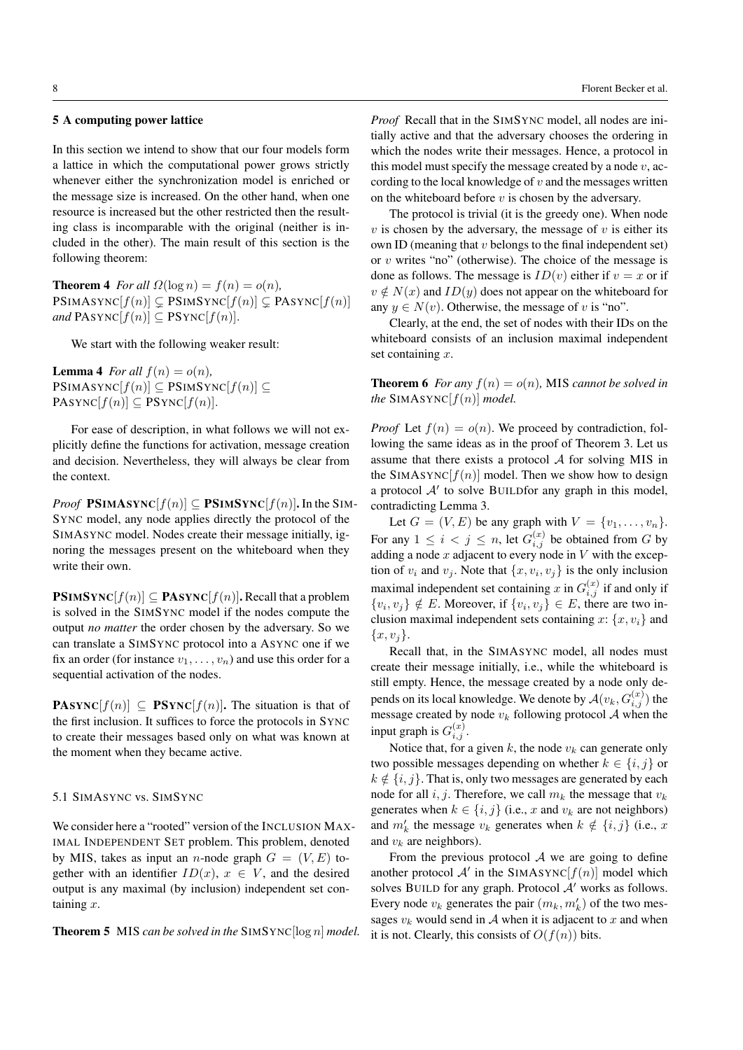# 5 A computing power lattice

In this section we intend to show that our four models form a lattice in which the computational power grows strictly whenever either the synchronization model is enriched or the message size is increased. On the other hand, when one resource is increased but the other restricted then the resulting class is incomparable with the original (neither is included in the other). The main result of this section is the following theorem:

**Theorem 4** *For all*  $\Omega(\log n) = f(n) = o(n)$ ,  $\text{PSIMASYNC}[f(n)] \subseteq \text{PSIMSYNC}[f(n)] \subseteq \text{PASYNC}[f(n)]$ *and*  $\text{PASYNC}[f(n)] \subseteq \text{PSYNC}[f(n)].$ 

We start with the following weaker result:

**Lemma 4** *For all*  $f(n) = o(n)$ *,*  $\text{PSIMASYNC}[f(n)] \subseteq \text{PSIMSYNC}[f(n)] \subseteq$  $PASYNC[f(n)] \subseteq PSYNC[f(n)].$ 

For ease of description, in what follows we will not explicitly define the functions for activation, message creation and decision. Nevertheless, they will always be clear from the context.

*Proof* PSIMASYNC $[f(n)] \subseteq$  PSIMSYNC $[f(n)]$ . In the SIM-SYNC model, any node applies directly the protocol of the SIMASYNC model. Nodes create their message initially, ignoring the messages present on the whiteboard when they write their own.

 $\text{PSIMSYNC}[f(n)] \subseteq \text{PASYNC}[f(n)]$ . Recall that a problem is solved in the SIMSYNC model if the nodes compute the output *no matter* the order chosen by the adversary. So we can translate a SIMSYNC protocol into a ASYNC one if we fix an order (for instance  $v_1, \ldots, v_n$ ) and use this order for a sequential activation of the nodes.

**PASYNC**[ $f(n)$ ]  $\subseteq$  **PSYNC**[ $f(n)$ ]. The situation is that of the first inclusion. It suffices to force the protocols in SYNC to create their messages based only on what was known at the moment when they became active.

### 5.1 SIMASYNC vs. SIMSYNC

We consider here a "rooted" version of the INCLUSION MAX-IMAL INDEPENDENT SET problem. This problem, denoted by MIS, takes as input an *n*-node graph  $G = (V, E)$  together with an identifier  $ID(x)$ ,  $x \in V$ , and the desired output is any maximal (by inclusion) independent set containing  $x$ .

Theorem 5 MIS *can be solved in the* SIMSYNC[log n] *model.*

*Proof* Recall that in the SIMSYNC model, all nodes are initially active and that the adversary chooses the ordering in which the nodes write their messages. Hence, a protocol in this model must specify the message created by a node  $v$ , according to the local knowledge of  $v$  and the messages written on the whiteboard before  $v$  is chosen by the adversary.

The protocol is trivial (it is the greedy one). When node  $v$  is chosen by the adversary, the message of  $v$  is either its own ID (meaning that  $v$  belongs to the final independent set) or  $v$  writes "no" (otherwise). The choice of the message is done as follows. The message is  $ID(v)$  either if  $v = x$  or if  $v \notin N(x)$  and  $ID(y)$  does not appear on the whiteboard for any  $y \in N(v)$ . Otherwise, the message of v is "no".

Clearly, at the end, the set of nodes with their IDs on the whiteboard consists of an inclusion maximal independent set containing  $x$ .

**Theorem 6** *For any*  $f(n) = o(n)$ , MIS *cannot be solved in the* SIMASYNC $[f(n)]$  *model.* 

*Proof* Let  $f(n) = o(n)$ . We proceed by contradiction, following the same ideas as in the proof of Theorem 3. Let us assume that there exists a protocol  $A$  for solving MIS in the SIMASYNC $[f(n)]$  model. Then we show how to design a protocol  $A'$  to solve BUILDfor any graph in this model, contradicting Lemma 3.

Let  $G = (V, E)$  be any graph with  $V = \{v_1, \ldots, v_n\}.$ For any  $1 \leq i < j \leq n$ , let  $G_{i,j}^{(x)}$  be obtained from G by adding a node x adjacent to every node in  $V$  with the exception of  $v_i$  and  $v_j$ . Note that  $\{x, v_i, v_j\}$  is the only inclusion maximal independent set containing x in  $G_{i,j}^{(x)}$  if and only if  $\{v_i, v_j\} \notin E$ . Moreover, if  $\{v_i, v_j\} \in E$ , there are two inclusion maximal independent sets containing  $x: \{x, v_i\}$  and  ${x, v_i}.$ 

Recall that, in the SIMASYNC model, all nodes must create their message initially, i.e., while the whiteboard is still empty. Hence, the message created by a node only depends on its local knowledge. We denote by  $\mathcal{A}(v_k, G_{i,j}^{(x)})$  the message created by node  $v_k$  following protocol  $A$  when the input graph is  $G_{i,j}^{(x)}$ .

Notice that, for a given k, the node  $v_k$  can generate only two possible messages depending on whether  $k \in \{i, j\}$  or  $k \notin \{i, j\}$ . That is, only two messages are generated by each node for all  $i, j$ . Therefore, we call  $m_k$  the message that  $v_k$ generates when  $k \in \{i, j\}$  (i.e., x and  $v_k$  are not neighbors) and  $m'_k$  the message  $v_k$  generates when  $k \notin \{i, j\}$  (i.e., x and  $v_k$  are neighbors).

From the previous protocol  $A$  we are going to define another protocol  $A'$  in the SIMASYNC $[f(n)]$  model which solves BUILD for any graph. Protocol  $A'$  works as follows. Every node  $v_k$  generates the pair  $(m_k, m'_k)$  of the two messages  $v_k$  would send in A when it is adjacent to x and when it is not. Clearly, this consists of  $O(f(n))$  bits.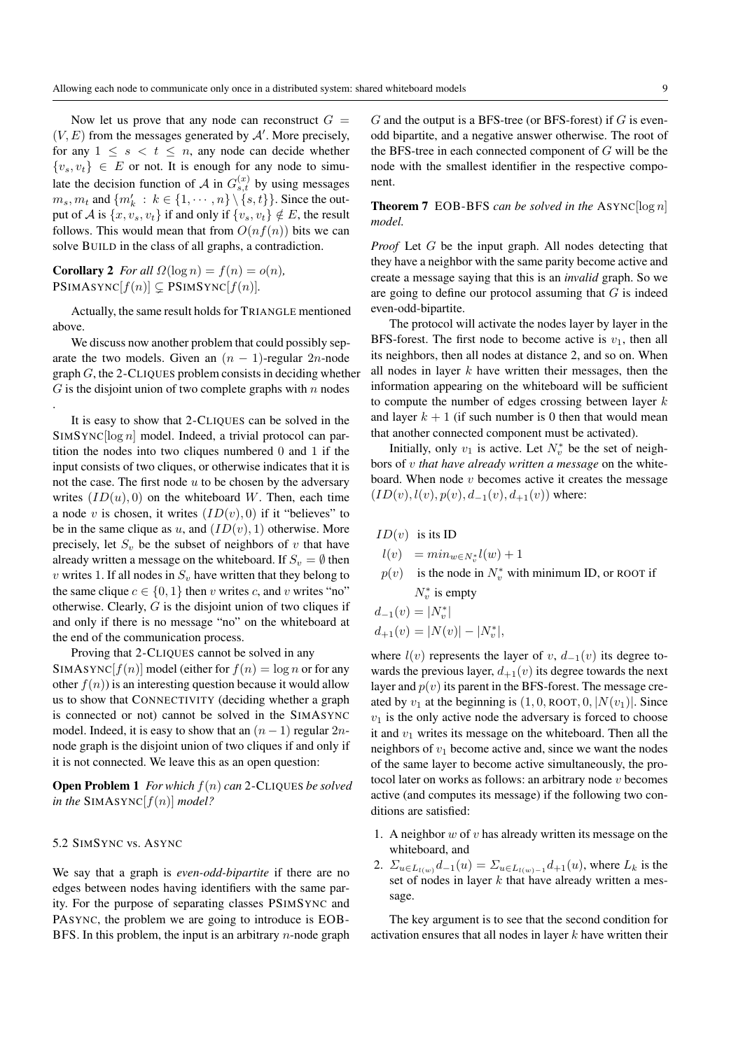Now let us prove that any node can reconstruct  $G =$  $(V, E)$  from the messages generated by  $A'$ . More precisely, for any  $1 \leq s \leq t \leq n$ , any node can decide whether  $\{v_s, v_t\} \in E$  or not. It is enough for any node to simulate the decision function of A in  $G_{s,t}^{(x)}$  by using messages  $m_s, m_t$  and  $\{m'_k : k \in \{1, \cdots, n\} \setminus \{s, t\}\}\)$ . Since the output of A is  $\{x, v_s, v_t\}$  if and only if  $\{v_s, v_t\} \notin E$ , the result follows. This would mean that from  $O(n f(n))$  bits we can solve BUILD in the class of all graphs, a contradiction.

**Corollary 2** *For all*  $\Omega(\log n) = f(n) = o(n)$ ,  $\text{PSIMASYNC}[f(n)] \subsetneq \text{PSIMSYNC}[f(n)]$ *.* 

Actually, the same result holds for TRIANGLE mentioned above.

We discuss now another problem that could possibly separate the two models. Given an  $(n - 1)$ -regular 2n-node  $graph G$ , the 2-CLIQUES problem consists in deciding whether  $G$  is the disjoint union of two complete graphs with n nodes .

It is easy to show that 2-CLIQUES can be solved in the  $SIMSYNC[log n]$  model. Indeed, a trivial protocol can partition the nodes into two cliques numbered 0 and 1 if the input consists of two cliques, or otherwise indicates that it is not the case. The first node  $u$  to be chosen by the adversary writes  $(ID(u), 0)$  on the whiteboard W. Then, each time a node v is chosen, it writes  $(ID(v), 0)$  if it "believes" to be in the same clique as u, and  $(ID(v), 1)$  otherwise. More precisely, let  $S_v$  be the subset of neighbors of v that have already written a message on the whiteboard. If  $S_v = \emptyset$  then v writes 1. If all nodes in  $S_v$  have written that they belong to the same clique  $c \in \{0, 1\}$  then v writes c, and v writes "no" otherwise. Clearly,  $G$  is the disjoint union of two cliques if and only if there is no message "no" on the whiteboard at the end of the communication process.

Proving that 2-CLIQUES cannot be solved in any SIMASYNC $[f(n)]$  model (either for  $f(n) = \log n$  or for any other  $f(n)$  is an interesting question because it would allow us to show that CONNECTIVITY (deciding whether a graph is connected or not) cannot be solved in the SIMASYNC model. Indeed, it is easy to show that an  $(n - 1)$  regular  $2n$ node graph is the disjoint union of two cliques if and only if it is not connected. We leave this as an open question:

Open Problem 1 *For which* f(n) *can* 2-CLIQUES *be solved in the* SIMASYNC $[f(n)]$  *model?* 

# 5.2 SIMSYNC vs. ASYNC

We say that a graph is *even-odd-bipartite* if there are no edges between nodes having identifiers with the same parity. For the purpose of separating classes PSIMSYNC and PASYNC, the problem we are going to introduce is EOB-BFS. In this problem, the input is an arbitrary  $n$ -node graph  $G$  and the output is a BFS-tree (or BFS-forest) if  $G$  is evenodd bipartite, and a negative answer otherwise. The root of the BFS-tree in each connected component of  $G$  will be the node with the smallest identifier in the respective component.

Theorem 7 EOB-BFS *can be solved in the* ASYNC[log n] *model.*

*Proof* Let G be the input graph. All nodes detecting that they have a neighbor with the same parity become active and create a message saying that this is an *invalid* graph. So we are going to define our protocol assuming that  $G$  is indeed even-odd-bipartite.

The protocol will activate the nodes layer by layer in the BFS-forest. The first node to become active is  $v_1$ , then all its neighbors, then all nodes at distance 2, and so on. When all nodes in layer  $k$  have written their messages, then the information appearing on the whiteboard will be sufficient to compute the number of edges crossing between layer  $k$ and layer  $k + 1$  (if such number is 0 then that would mean that another connected component must be activated).

Initially, only  $v_1$  is active. Let  $N_v^*$  be the set of neighbors of v *that have already written a message* on the whiteboard. When node  $v$  becomes active it creates the message  $(ID(v), l(v), p(v), d_{-1}(v), d_{+1}(v))$  where:

- $ID(v)$  is its ID
- $l(v) = min_{w \in N_v^*} l(w) + 1$
- $p(v)$  is the node in  $N_v^*$  with minimum ID, or ROOT if  $N_v^*$  is empty

 $d_{-1}(v) = |N_v^*|$ 

$$
d_{+1}(v) = |N(v)| - |N_v^*|,
$$

where  $l(v)$  represents the layer of v,  $d_{-1}(v)$  its degree towards the previous layer,  $d_{+1}(v)$  its degree towards the next layer and  $p(v)$  its parent in the BFS-forest. The message created by  $v_1$  at the beginning is  $(1, 0, \text{ROOT}, 0, |N(v_1)|)$ . Since  $v_1$  is the only active node the adversary is forced to choose it and  $v_1$  writes its message on the whiteboard. Then all the neighbors of  $v_1$  become active and, since we want the nodes of the same layer to become active simultaneously, the protocol later on works as follows: an arbitrary node  $v$  becomes active (and computes its message) if the following two conditions are satisfied:

- 1. A neighbor  $w$  of  $v$  has already written its message on the whiteboard, and
- 2.  $\Sigma_{u \in L_{l(w)}} d_{-1}(u) = \Sigma_{u \in L_{l(w)-1}} d_{+1}(u)$ , where  $L_k$  is the set of nodes in layer  $k$  that have already written a message.

The key argument is to see that the second condition for activation ensures that all nodes in layer  $k$  have written their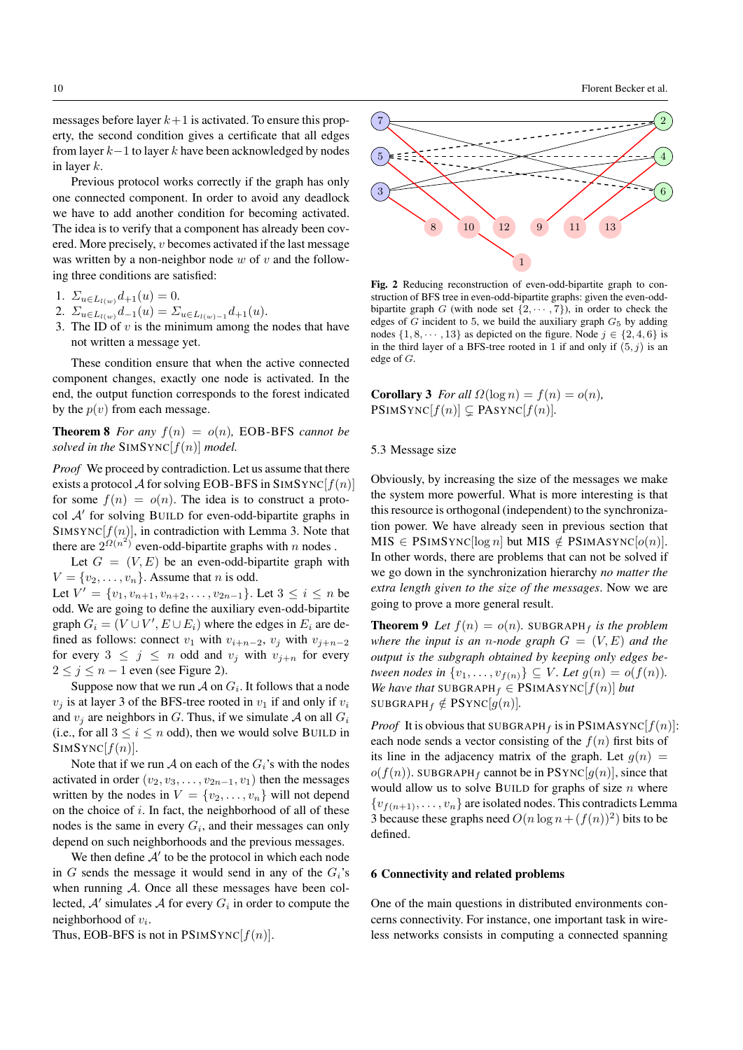messages before layer  $k+1$  is activated. To ensure this property, the second condition gives a certificate that all edges from layer  $k-1$  to layer k have been acknowledged by nodes in layer k.

Previous protocol works correctly if the graph has only one connected component. In order to avoid any deadlock we have to add another condition for becoming activated. The idea is to verify that a component has already been covered. More precisely, v becomes activated if the last message was written by a non-neighbor node  $w$  of  $v$  and the following three conditions are satisfied:

1.  $\Sigma_{u \in L_{l(w)}} d_{+1}(u) = 0.$ 

- 2.  $\Sigma_{u \in L_{l(w)}} d_{-1}(u) = \Sigma_{u \in L_{l(w)-1}} d_{+1}(u)$ .
- 3. The ID of  $v$  is the minimum among the nodes that have not written a message yet.

These condition ensure that when the active connected component changes, exactly one node is activated. In the end, the output function corresponds to the forest indicated by the  $p(v)$  from each message.

**Theorem 8** For any  $f(n) = o(n)$ , EOB-BFS cannot be *solved in the* SIMSYNC $[f(n)]$  *model.* 

*Proof* We proceed by contradiction. Let us assume that there exists a protocol A for solving EOB-BFS in SIMSYNC $[f(n)]$ for some  $f(n) = o(n)$ . The idea is to construct a protocol A' for solving BUILD for even-odd-bipartite graphs in SIMSYNC $[f(n)]$ , in contradiction with Lemma 3. Note that there are  $2^{\Omega(n^2)}$  even-odd-bipartite graphs with n nodes.

Let  $G = (V, E)$  be an even-odd-bipartite graph with  $V = \{v_2, \ldots, v_n\}$ . Assume that *n* is odd.

Let  $V' = \{v_1, v_{n+1}, v_{n+2}, \dots, v_{2n-1}\}$ . Let  $3 \le i \le n$  be odd. We are going to define the auxiliary even-odd-bipartite graph  $G_i = (V \cup V', E \cup E_i)$  where the edges in  $E_i$  are defined as follows: connect  $v_1$  with  $v_{i+n-2}$ ,  $v_i$  with  $v_{i+n-2}$ for every  $3 \leq j \leq n$  odd and  $v_j$  with  $v_{j+n}$  for every  $2 \leq j \leq n-1$  even (see Figure 2).

Suppose now that we run  $\mathcal A$  on  $G_i$ . It follows that a node  $v_i$  is at layer 3 of the BFS-tree rooted in  $v_1$  if and only if  $v_i$ and  $v_i$  are neighbors in G. Thus, if we simulate A on all  $G_i$ (i.e., for all  $3 \le i \le n$  odd), then we would solve BUILD in  $SIMSYNC[f(n)].$ 

Note that if we run A on each of the  $G_i$ 's with the nodes activated in order  $(v_2, v_3, \ldots, v_{2n-1}, v_1)$  then the messages written by the nodes in  $V = \{v_2, \ldots, v_n\}$  will not depend on the choice of  $i$ . In fact, the neighborhood of all of these nodes is the same in every  $G_i$ , and their messages can only depend on such neighborhoods and the previous messages.

We then define  $A'$  to be the protocol in which each node in G sends the message it would send in any of the  $G_i$ 's when running  $A$ . Once all these messages have been collected,  $A'$  simulates  $A$  for every  $G_i$  in order to compute the neighborhood of  $v_i$ .

Thus, EOB-BFS is not in  $PSIMSYNC[f(n)]$ .



Fig. 2 Reducing reconstruction of even-odd-bipartite graph to construction of BFS tree in even-odd-bipartite graphs: given the even-oddbipartite graph G (with node set  $\{2, \dots, 7\}$ ), in order to check the edges of  $G$  incident to 5, we build the auxiliary graph  $G<sub>5</sub>$  by adding nodes  $\{1, 8, \dots, 13\}$  as depicted on the figure. Node  $j \in \{2, 4, 6\}$  is in the third layer of a BFS-tree rooted in 1 if and only if  $(5, j)$  is an edge of G.

**Corollary 3** *For all*  $\Omega(\log n) = f(n) = o(n)$ ,  $\text{PSIMSYNC}[f(n)] \subsetneq \text{PASYNC}[f(n)]$ *.* 

#### 5.3 Message size

Obviously, by increasing the size of the messages we make the system more powerful. What is more interesting is that this resource is orthogonal (independent) to the synchronization power. We have already seen in previous section that  $MIS \in \text{PSIMSYNC}[\log n]$  but MIS  $\notin \text{PSIMASYNC}[o(n)]$ . In other words, there are problems that can not be solved if we go down in the synchronization hierarchy *no matter the extra length given to the size of the messages*. Now we are going to prove a more general result.

**Theorem 9** Let  $f(n) = o(n)$ . SUBGRAPH<sub>f</sub> is the problem *where the input is an n-node graph*  $G = (V, E)$  *and the output is the subgraph obtained by keeping only edges between nodes in*  $\{v_1, \ldots, v_{f(n)}\} \subseteq V$ *. Let*  $g(n) = o(f(n))$ *. We have that* SUBGRAPH $_f \in$  PSIMASYNC $[f(n)]$  *but* SUBGRAPH<sub>f</sub>  $\notin$  PSYNC[ $g(n)$ ].

*Proof* It is obvious that SUBGRAPH<sub>f</sub> is in PSIMASYNC $[f(n)]$ : each node sends a vector consisting of the  $f(n)$  first bits of its line in the adjacency matrix of the graph. Let  $g(n)$  =  $o(f(n))$ . SUBGRAPH<sub>f</sub> cannot be in PSYNC[ $q(n)$ ], since that would allow us to solve BUILD for graphs of size  $n$  where  ${v_{f(n+1)}, \ldots, v_n}$  are isolated nodes. This contradicts Lemma 3 because these graphs need  $O(n \log n + (f(n))^2)$  bits to be defined.

#### 6 Connectivity and related problems

One of the main questions in distributed environments concerns connectivity. For instance, one important task in wireless networks consists in computing a connected spanning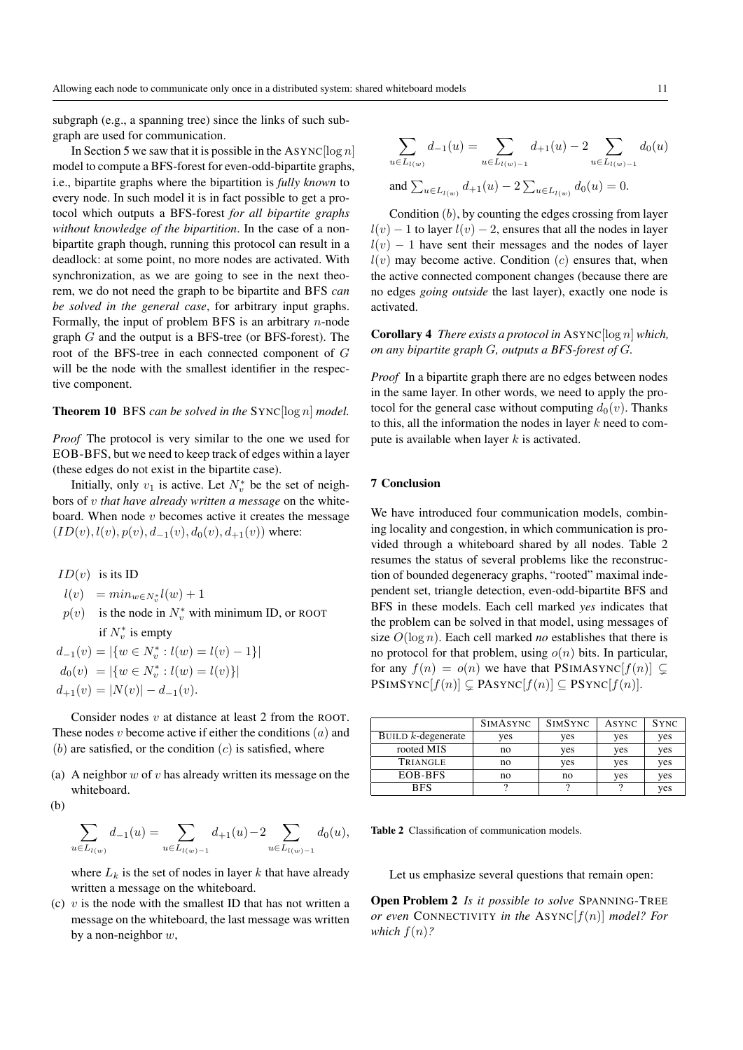subgraph (e.g., a spanning tree) since the links of such subgraph are used for communication.

In Section 5 we saw that it is possible in the ASYNC  $\lceil \log n \rceil$ model to compute a BFS-forest for even-odd-bipartite graphs, i.e., bipartite graphs where the bipartition is *fully known* to every node. In such model it is in fact possible to get a protocol which outputs a BFS-forest *for all bipartite graphs without knowledge of the bipartition*. In the case of a nonbipartite graph though, running this protocol can result in a deadlock: at some point, no more nodes are activated. With synchronization, as we are going to see in the next theorem, we do not need the graph to be bipartite and BFS *can be solved in the general case*, for arbitrary input graphs. Formally, the input of problem BFS is an arbitrary  $n$ -node graph G and the output is a BFS-tree (or BFS-forest). The root of the BFS-tree in each connected component of G will be the node with the smallest identifier in the respective component.

# Theorem 10 BFS *can be solved in the* SYNC[log n] *model.*

*Proof* The protocol is very similar to the one we used for EOB-BFS, but we need to keep track of edges within a layer (these edges do not exist in the bipartite case).

Initially, only  $v_1$  is active. Let  $N_v^*$  be the set of neighbors of v *that have already written a message* on the whiteboard. When node  $v$  becomes active it creates the message  $(ID(v), l(v), p(v), d_{-1}(v), d_0(v), d_{+1}(v))$  where:

 $ID(v)$  is its ID

- $l(v) = min_{w \in N_v^*} l(w) + 1$
- $p(v)$  is the node in  $N_v^*$  with minimum ID, or ROOT if  $N_v^*$  is empty

 $d_{-1}(v) = |\{w \in N_v^* : l(w) = l(v) - 1\}|$  $d_0(v) = |\{w \in N_v^* : l(w) = l(v)\}|$  $d_{+1}(v) = |N(v)| - d_{-1}(v).$ 

Consider nodes v at distance at least 2 from the ROOT. These nodes  $v$  become active if either the conditions  $(a)$  and  $(b)$  are satisfied, or the condition  $(c)$  is satisfied, where

- (a) A neighbor  $w$  of  $v$  has already written its message on the whiteboard.
- (b)

$$
\sum_{u \in L_{l(w)}} d_{-1}(u) = \sum_{u \in L_{l(w)-1}} d_{+1}(u) - 2 \sum_{u \in L_{l(w)-1}} d_0(u),
$$

where  $L_k$  is the set of nodes in layer k that have already written a message on the whiteboard.

(c)  $v$  is the node with the smallest ID that has not written a message on the whiteboard, the last message was written by a non-neighbor w,

$$
\sum_{u \in L_{l(w)}} d_{-1}(u) = \sum_{u \in L_{l(w)-1}} d_{+1}(u) - 2 \sum_{u \in L_{l(w)-1}} d_0(u)
$$
  
and 
$$
\sum_{u \in L_{l(w)}} d_{+1}(u) - 2 \sum_{u \in L_{l(w)}} d_0(u) = 0.
$$

Condition  $(b)$ , by counting the edges crossing from layer  $l(v) - 1$  to layer  $l(v) - 2$ , ensures that all the nodes in layer  $l(v) - 1$  have sent their messages and the nodes of layer  $l(v)$  may become active. Condition  $(c)$  ensures that, when the active connected component changes (because there are no edges *going outside* the last layer), exactly one node is activated.

Corollary 4 *There exists a protocol in* ASYNC[log n] *which, on any bipartite graph* G*, outputs a BFS-forest of* G*.*

*Proof* In a bipartite graph there are no edges between nodes in the same layer. In other words, we need to apply the protocol for the general case without computing  $d_0(v)$ . Thanks to this, all the information the nodes in layer  $k$  need to compute is available when layer  $k$  is activated.

# 7 Conclusion

We have introduced four communication models, combining locality and congestion, in which communication is provided through a whiteboard shared by all nodes. Table 2 resumes the status of several problems like the reconstruction of bounded degeneracy graphs, "rooted" maximal independent set, triangle detection, even-odd-bipartite BFS and BFS in these models. Each cell marked *yes* indicates that the problem can be solved in that model, using messages of size O(log n). Each cell marked *no* establishes that there is no protocol for that problem, using  $o(n)$  bits. In particular, for any  $f(n) = o(n)$  we have that PSIMASYNC $[f(n)] \subseteq$  $\text{PSIMSYNC}[f(n)] \subsetneq \text{PASYNC}[f(n)] \subseteq \text{PSYNC}[f(n)].$ 

|                       | <b>SIMASYNC</b> | <b>SIMSYNC</b> | ASYNC | <b>SYNC</b> |
|-----------------------|-----------------|----------------|-------|-------------|
| BUILD $k$ -degenerate | ves             | yes            | yes   | yes         |
| rooted MIS            | no              | yes            | yes   | yes         |
| TRIANGLE              | no              | ves            | ves   | yes         |
| EOB-BFS               | no              | no             | yes   | yes         |
| <b>BFS</b>            |                 |                |       | yes         |

Table 2 Classification of communication models.

Let us emphasize several questions that remain open:

Open Problem 2 *Is it possible to solve* SPANNING-TREE *or even* CONNECTIVITY *in the* ASYNC $[f(n)]$  *model? For which*  $f(n)$ ?